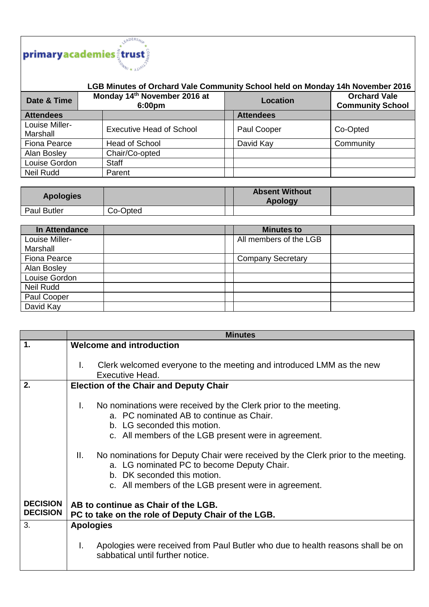

## **LGB Minutes of Orchard Vale Community School held on Monday 14h November 2016**

| Date & Time                | Monday 14th November 2016 at<br>6:00pm | <b>Location</b>  | <b>Orchard Vale</b><br><b>Community School</b> |
|----------------------------|----------------------------------------|------------------|------------------------------------------------|
| <b>Attendees</b>           |                                        | <b>Attendees</b> |                                                |
| Louise Miller-<br>Marshall | <b>Executive Head of School</b>        | Paul Cooper      | Co-Opted                                       |
| Fiona Pearce               | Head of School                         | David Kay        | Community                                      |
| Alan Bosley                | Chair/Co-opted                         |                  |                                                |
| Louise Gordon              | <b>Staff</b>                           |                  |                                                |
| Neil Rudd                  | Parent                                 |                  |                                                |

| <b>Apologies</b>   |          | <b>Absent Without</b><br><b>Apology</b> |  |
|--------------------|----------|-----------------------------------------|--|
| <b>Paul Butler</b> | Co-Opted |                                         |  |

| In Attendance       | <b>Minutes to</b>        |  |
|---------------------|--------------------------|--|
| Louise Miller-      | All members of the LGB   |  |
| Marshall            |                          |  |
| <b>Fiona Pearce</b> | <b>Company Secretary</b> |  |
| Alan Bosley         |                          |  |
| Louise Gordon       |                          |  |
| <b>Neil Rudd</b>    |                          |  |
| Paul Cooper         |                          |  |
| David Kay           |                          |  |

|                 | <b>Minutes</b>                                                                         |
|-----------------|----------------------------------------------------------------------------------------|
| $\mathbf 1$     | <b>Welcome and introduction</b>                                                        |
|                 |                                                                                        |
|                 | Clerk welcomed everyone to the meeting and introduced LMM as the new<br>L.             |
|                 | Executive Head.                                                                        |
| 2.              | <b>Election of the Chair and Deputy Chair</b>                                          |
|                 |                                                                                        |
|                 | No nominations were received by the Clerk prior to the meeting.<br>T.                  |
|                 | a. PC nominated AB to continue as Chair.                                               |
|                 | b. LG seconded this motion.                                                            |
|                 | c. All members of the LGB present were in agreement.                                   |
|                 |                                                                                        |
|                 | No nominations for Deputy Chair were received by the Clerk prior to the meeting.<br>Ш. |
|                 | a. LG nominated PC to become Deputy Chair.                                             |
|                 | b. DK seconded this motion.                                                            |
|                 | c. All members of the LGB present were in agreement.                                   |
|                 |                                                                                        |
| <b>DECISION</b> | AB to continue as Chair of the LGB.                                                    |
| <b>DECISION</b> | PC to take on the role of Deputy Chair of the LGB.                                     |
| 3.              | <b>Apologies</b>                                                                       |
|                 |                                                                                        |
|                 | Apologies were received from Paul Butler who due to health reasons shall be on<br>I.   |
|                 | sabbatical until further notice.                                                       |
|                 |                                                                                        |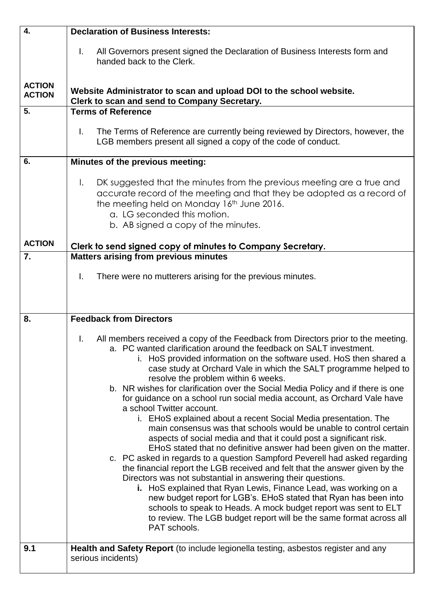| 4.                             | <b>Declaration of Business Interests:</b>                                                                                                                                                                                                                                                                                                                                                                                                                                                                                                                                                                                                                                                                                                                                                                                                                                                                                                                                                                                                                                                                                                                                                                                                                                                                                                                     |
|--------------------------------|---------------------------------------------------------------------------------------------------------------------------------------------------------------------------------------------------------------------------------------------------------------------------------------------------------------------------------------------------------------------------------------------------------------------------------------------------------------------------------------------------------------------------------------------------------------------------------------------------------------------------------------------------------------------------------------------------------------------------------------------------------------------------------------------------------------------------------------------------------------------------------------------------------------------------------------------------------------------------------------------------------------------------------------------------------------------------------------------------------------------------------------------------------------------------------------------------------------------------------------------------------------------------------------------------------------------------------------------------------------|
|                                | All Governors present signed the Declaration of Business Interests form and<br>$\mathbf{L}$<br>handed back to the Clerk.                                                                                                                                                                                                                                                                                                                                                                                                                                                                                                                                                                                                                                                                                                                                                                                                                                                                                                                                                                                                                                                                                                                                                                                                                                      |
| <b>ACTION</b><br><b>ACTION</b> | Website Administrator to scan and upload DOI to the school website.<br>Clerk to scan and send to Company Secretary.                                                                                                                                                                                                                                                                                                                                                                                                                                                                                                                                                                                                                                                                                                                                                                                                                                                                                                                                                                                                                                                                                                                                                                                                                                           |
| 5.                             | <b>Terms of Reference</b>                                                                                                                                                                                                                                                                                                                                                                                                                                                                                                                                                                                                                                                                                                                                                                                                                                                                                                                                                                                                                                                                                                                                                                                                                                                                                                                                     |
|                                | $\mathbf{L}$<br>The Terms of Reference are currently being reviewed by Directors, however, the<br>LGB members present all signed a copy of the code of conduct.                                                                                                                                                                                                                                                                                                                                                                                                                                                                                                                                                                                                                                                                                                                                                                                                                                                                                                                                                                                                                                                                                                                                                                                               |
| 6.                             | Minutes of the previous meeting:                                                                                                                                                                                                                                                                                                                                                                                                                                                                                                                                                                                                                                                                                                                                                                                                                                                                                                                                                                                                                                                                                                                                                                                                                                                                                                                              |
|                                | DK suggested that the minutes from the previous meeting are a true and<br>$\mathsf{L}$<br>accurate record of the meeting and that they be adopted as a record of<br>the meeting held on Monday 16 <sup>th</sup> June 2016.<br>a. LG seconded this motion.<br>b. AB signed a copy of the minutes.                                                                                                                                                                                                                                                                                                                                                                                                                                                                                                                                                                                                                                                                                                                                                                                                                                                                                                                                                                                                                                                              |
| <b>ACTION</b>                  | Clerk to send signed copy of minutes to Company Secretary.                                                                                                                                                                                                                                                                                                                                                                                                                                                                                                                                                                                                                                                                                                                                                                                                                                                                                                                                                                                                                                                                                                                                                                                                                                                                                                    |
| 7.                             | <b>Matters arising from previous minutes</b><br>T.<br>There were no mutterers arising for the previous minutes.                                                                                                                                                                                                                                                                                                                                                                                                                                                                                                                                                                                                                                                                                                                                                                                                                                                                                                                                                                                                                                                                                                                                                                                                                                               |
| 8.                             | <b>Feedback from Directors</b>                                                                                                                                                                                                                                                                                                                                                                                                                                                                                                                                                                                                                                                                                                                                                                                                                                                                                                                                                                                                                                                                                                                                                                                                                                                                                                                                |
|                                | All members received a copy of the Feedback from Directors prior to the meeting.<br>L.<br>a. PC wanted clarification around the feedback on SALT investment.<br>i. HoS provided information on the software used. HoS then shared a<br>case study at Orchard Vale in which the SALT programme helped to<br>resolve the problem within 6 weeks.<br>b. NR wishes for clarification over the Social Media Policy and if there is one<br>for guidance on a school run social media account, as Orchard Vale have<br>a school Twitter account.<br>i. EHoS explained about a recent Social Media presentation. The<br>main consensus was that schools would be unable to control certain<br>aspects of social media and that it could post a significant risk.<br>EHoS stated that no definitive answer had been given on the matter.<br>c. PC asked in regards to a question Sampford Peverell had asked regarding<br>the financial report the LGB received and felt that the answer given by the<br>Directors was not substantial in answering their questions.<br>i. HoS explained that Ryan Lewis, Finance Lead, was working on a<br>new budget report for LGB's. EHoS stated that Ryan has been into<br>schools to speak to Heads. A mock budget report was sent to ELT<br>to review. The LGB budget report will be the same format across all<br>PAT schools. |
| 9.1                            | Health and Safety Report (to include legionella testing, asbestos register and any<br>serious incidents)                                                                                                                                                                                                                                                                                                                                                                                                                                                                                                                                                                                                                                                                                                                                                                                                                                                                                                                                                                                                                                                                                                                                                                                                                                                      |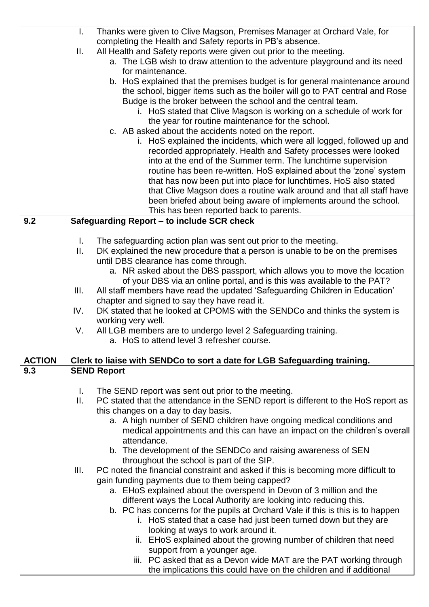|               | I.<br>Thanks were given to Clive Magson, Premises Manager at Orchard Vale, for                                                                      |
|---------------|-----------------------------------------------------------------------------------------------------------------------------------------------------|
|               | completing the Health and Safety reports in PB's absence.                                                                                           |
|               | All Health and Safety reports were given out prior to the meeting.<br>II.                                                                           |
|               | a. The LGB wish to draw attention to the adventure playground and its need<br>for maintenance.                                                      |
|               | b. HoS explained that the premises budget is for general maintenance around                                                                         |
|               | the school, bigger items such as the boiler will go to PAT central and Rose                                                                         |
|               | Budge is the broker between the school and the central team.                                                                                        |
|               | i. HoS stated that Clive Magson is working on a schedule of work for                                                                                |
|               | the year for routine maintenance for the school.                                                                                                    |
|               | c. AB asked about the accidents noted on the report.                                                                                                |
|               | i. HoS explained the incidents, which were all logged, followed up and                                                                              |
|               | recorded appropriately. Health and Safety processes were looked                                                                                     |
|               | into at the end of the Summer term. The lunchtime supervision                                                                                       |
|               | routine has been re-written. HoS explained about the 'zone' system                                                                                  |
|               | that has now been put into place for lunchtimes. HoS also stated                                                                                    |
|               | that Clive Magson does a routine walk around and that all staff have                                                                                |
|               | been briefed about being aware of implements around the school.                                                                                     |
|               | This has been reported back to parents.                                                                                                             |
| 9.2           | Safeguarding Report - to include SCR check                                                                                                          |
|               | The safeguarding action plan was sent out prior to the meeting.<br>L.                                                                               |
|               | DK explained the new procedure that a person is unable to be on the premises<br>Ш.                                                                  |
|               | until DBS clearance has come through.                                                                                                               |
|               | a. NR asked about the DBS passport, which allows you to move the location                                                                           |
|               | of your DBS via an online portal, and is this was available to the PAT?                                                                             |
|               | All staff members have read the updated 'Safeguarding Children in Education'<br>III.                                                                |
|               | chapter and signed to say they have read it.                                                                                                        |
|               | DK stated that he looked at CPOMS with the SENDCo and thinks the system is<br>IV.                                                                   |
|               | working very well.                                                                                                                                  |
|               | All LGB members are to undergo level 2 Safeguarding training.<br>V.                                                                                 |
|               | a. HoS to attend level 3 refresher course.                                                                                                          |
| <b>ACTION</b> | Clerk to liaise with SENDCo to sort a date for LGB Safeguarding training.                                                                           |
| 9.3           | <b>SEND Report</b>                                                                                                                                  |
|               |                                                                                                                                                     |
|               | The SEND report was sent out prior to the meeting.<br>L.                                                                                            |
|               | PC stated that the attendance in the SEND report is different to the HoS report as<br>Ш.                                                            |
|               | this changes on a day to day basis.                                                                                                                 |
|               | a. A high number of SEND children have ongoing medical conditions and<br>medical appointments and this can have an impact on the children's overall |
|               | attendance.                                                                                                                                         |
|               | b. The development of the SENDCo and raising awareness of SEN                                                                                       |
|               | throughout the school is part of the SIP.                                                                                                           |
|               | PC noted the financial constraint and asked if this is becoming more difficult to<br>III.                                                           |
|               | gain funding payments due to them being capped?                                                                                                     |
|               | a. EHoS explained about the overspend in Devon of 3 million and the                                                                                 |
|               | different ways the Local Authority are looking into reducing this.                                                                                  |
|               | b. PC has concerns for the pupils at Orchard Vale if this is this is to happen                                                                      |
|               | i. HoS stated that a case had just been turned down but they are                                                                                    |
|               | looking at ways to work around it.                                                                                                                  |
|               | ii. EHoS explained about the growing number of children that need                                                                                   |
|               | support from a younger age.                                                                                                                         |
|               | iii. PC asked that as a Devon wide MAT are the PAT working through<br>the implications this could have on the children and if additional            |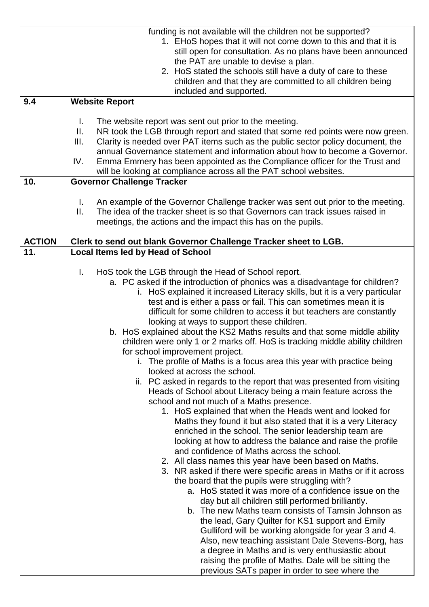|                      | funding is not available will the children not be supported?                                                 |
|----------------------|--------------------------------------------------------------------------------------------------------------|
|                      | 1. EHoS hopes that it will not come down to this and that it is                                              |
|                      | still open for consultation. As no plans have been announced                                                 |
|                      | the PAT are unable to devise a plan.                                                                         |
|                      | 2. HoS stated the schools still have a duty of care to these                                                 |
|                      | children and that they are committed to all children being                                                   |
|                      | included and supported.                                                                                      |
| 9.4                  | <b>Website Report</b>                                                                                        |
|                      |                                                                                                              |
|                      | Τ.<br>The website report was sent out prior to the meeting.                                                  |
|                      | NR took the LGB through report and stated that some red points were now green.<br>Ⅱ.                         |
|                      | Clarity is needed over PAT items such as the public sector policy document, the<br>III.                      |
|                      | annual Governance statement and information about how to become a Governor.                                  |
|                      | IV.<br>Emma Emmery has been appointed as the Compliance officer for the Trust and                            |
|                      | will be looking at compliance across all the PAT school websites.                                            |
| 10.                  | <b>Governor Challenge Tracker</b>                                                                            |
|                      |                                                                                                              |
|                      | $\mathbf{L}$<br>An example of the Governor Challenge tracker was sent out prior to the meeting.              |
|                      | The idea of the tracker sheet is so that Governors can track issues raised in<br>Ⅱ.                          |
|                      | meetings, the actions and the impact this has on the pupils.                                                 |
|                      |                                                                                                              |
| <b>ACTION</b><br>11. | Clerk to send out blank Governor Challenge Tracker sheet to LGB.<br><b>Local Items led by Head of School</b> |
|                      |                                                                                                              |
|                      | I.<br>HoS took the LGB through the Head of School report.                                                    |
|                      | a. PC asked if the introduction of phonics was a disadvantage for children?                                  |
|                      | i. HoS explained it increased Literacy skills, but it is a very particular                                   |
|                      | test and is either a pass or fail. This can sometimes mean it is                                             |
|                      | difficult for some children to access it but teachers are constantly                                         |
|                      | looking at ways to support these children.                                                                   |
|                      | b. HoS explained about the KS2 Maths results and that some middle ability                                    |
|                      | children were only 1 or 2 marks off. HoS is tracking middle ability children                                 |
|                      | for school improvement project.                                                                              |
|                      | i. The profile of Maths is a focus area this year with practice being                                        |
|                      | looked at across the school.                                                                                 |
|                      | ii. PC asked in regards to the report that was presented from visiting                                       |
|                      | Heads of School about Literacy being a main feature across the                                               |
|                      | school and not much of a Maths presence.                                                                     |
|                      | 1. HoS explained that when the Heads went and looked for                                                     |
|                      | Maths they found it but also stated that it is a very Literacy                                               |
|                      | enriched in the school. The senior leadership team are                                                       |
|                      | looking at how to address the balance and raise the profile                                                  |
|                      | and confidence of Maths across the school.                                                                   |
|                      | 2. All class names this year have been based on Maths.                                                       |
|                      | 3. NR asked if there were specific areas in Maths or if it across                                            |
|                      | the board that the pupils were struggling with?                                                              |
|                      | a. HoS stated it was more of a confidence issue on the                                                       |
|                      | day but all children still performed brilliantly.                                                            |
|                      | b. The new Maths team consists of Tamsin Johnson as                                                          |
|                      | the lead, Gary Quilter for KS1 support and Emily                                                             |
|                      | Gulliford will be working alongside for year 3 and 4.                                                        |
|                      | Also, new teaching assistant Dale Stevens-Borg, has                                                          |
|                      | a degree in Maths and is very enthusiastic about                                                             |
|                      | raising the profile of Maths. Dale will be sitting the                                                       |
|                      | previous SATs paper in order to see where the                                                                |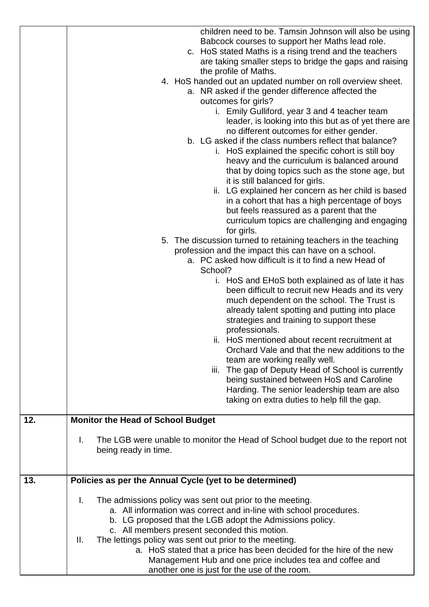| Babcock courses to support her Maths lead role.<br>c. HoS stated Maths is a rising trend and the teachers<br>are taking smaller steps to bridge the gaps and raising<br>the profile of Maths.<br>4. HoS handed out an updated number on roll overview sheet.<br>a. NR asked if the gender difference affected the<br>outcomes for girls?<br>i. Emily Gulliford, year 3 and 4 teacher team<br>leader, is looking into this but as of yet there are<br>no different outcomes for either gender.<br>b. LG asked if the class numbers reflect that balance?<br>i. HoS explained the specific cohort is still boy<br>heavy and the curriculum is balanced around<br>that by doing topics such as the stone age, but<br>it is still balanced for girls.<br>ii. LG explained her concern as her child is based<br>in a cohort that has a high percentage of boys<br>but feels reassured as a parent that the<br>curriculum topics are challenging and engaging<br>for girls.<br>5. The discussion turned to retaining teachers in the teaching<br>profession and the impact this can have on a school.<br>a. PC asked how difficult is it to find a new Head of<br>School?<br>i. HoS and EHoS both explained as of late it has<br>been difficult to recruit new Heads and its very<br>much dependent on the school. The Trust is<br>already talent spotting and putting into place<br>strategies and training to support these<br>professionals.<br>ii. HoS mentioned about recent recruitment at<br>Orchard Vale and that the new additions to the<br>team are working really well.<br>iii. The gap of Deputy Head of School is currently<br>being sustained between HoS and Caroline<br>Harding. The senior leadership team are also<br>taking on extra duties to help fill the gap.<br><b>Monitor the Head of School Budget</b><br>12.<br>Τ.<br>The LGB were unable to monitor the Head of School budget due to the report not<br>being ready in time.<br>Policies as per the Annual Cycle (yet to be determined)<br>13.<br>Τ.<br>The admissions policy was sent out prior to the meeting.<br>a. All information was correct and in-line with school procedures.<br>b. LG proposed that the LGB adopt the Admissions policy.<br>c. All members present seconded this motion.<br>The lettings policy was sent out prior to the meeting.<br>Ш.<br>a. HoS stated that a price has been decided for the hire of the new<br>Management Hub and one price includes tea and coffee and<br>another one is just for the use of the room. | children need to be. Tamsin Johnson will also be using |
|-----------------------------------------------------------------------------------------------------------------------------------------------------------------------------------------------------------------------------------------------------------------------------------------------------------------------------------------------------------------------------------------------------------------------------------------------------------------------------------------------------------------------------------------------------------------------------------------------------------------------------------------------------------------------------------------------------------------------------------------------------------------------------------------------------------------------------------------------------------------------------------------------------------------------------------------------------------------------------------------------------------------------------------------------------------------------------------------------------------------------------------------------------------------------------------------------------------------------------------------------------------------------------------------------------------------------------------------------------------------------------------------------------------------------------------------------------------------------------------------------------------------------------------------------------------------------------------------------------------------------------------------------------------------------------------------------------------------------------------------------------------------------------------------------------------------------------------------------------------------------------------------------------------------------------------------------------------------------------------------------------------------------------------------------------------------------------------------------------------------------------------------------------------------------------------------------------------------------------------------------------------------------------------------------------------------------------------------------------------------------------------------------------------------------------------------------------------------------------------------------------------------------------|--------------------------------------------------------|
|                                                                                                                                                                                                                                                                                                                                                                                                                                                                                                                                                                                                                                                                                                                                                                                                                                                                                                                                                                                                                                                                                                                                                                                                                                                                                                                                                                                                                                                                                                                                                                                                                                                                                                                                                                                                                                                                                                                                                                                                                                                                                                                                                                                                                                                                                                                                                                                                                                                                                                                             |                                                        |
|                                                                                                                                                                                                                                                                                                                                                                                                                                                                                                                                                                                                                                                                                                                                                                                                                                                                                                                                                                                                                                                                                                                                                                                                                                                                                                                                                                                                                                                                                                                                                                                                                                                                                                                                                                                                                                                                                                                                                                                                                                                                                                                                                                                                                                                                                                                                                                                                                                                                                                                             |                                                        |
|                                                                                                                                                                                                                                                                                                                                                                                                                                                                                                                                                                                                                                                                                                                                                                                                                                                                                                                                                                                                                                                                                                                                                                                                                                                                                                                                                                                                                                                                                                                                                                                                                                                                                                                                                                                                                                                                                                                                                                                                                                                                                                                                                                                                                                                                                                                                                                                                                                                                                                                             |                                                        |
|                                                                                                                                                                                                                                                                                                                                                                                                                                                                                                                                                                                                                                                                                                                                                                                                                                                                                                                                                                                                                                                                                                                                                                                                                                                                                                                                                                                                                                                                                                                                                                                                                                                                                                                                                                                                                                                                                                                                                                                                                                                                                                                                                                                                                                                                                                                                                                                                                                                                                                                             |                                                        |
|                                                                                                                                                                                                                                                                                                                                                                                                                                                                                                                                                                                                                                                                                                                                                                                                                                                                                                                                                                                                                                                                                                                                                                                                                                                                                                                                                                                                                                                                                                                                                                                                                                                                                                                                                                                                                                                                                                                                                                                                                                                                                                                                                                                                                                                                                                                                                                                                                                                                                                                             |                                                        |
|                                                                                                                                                                                                                                                                                                                                                                                                                                                                                                                                                                                                                                                                                                                                                                                                                                                                                                                                                                                                                                                                                                                                                                                                                                                                                                                                                                                                                                                                                                                                                                                                                                                                                                                                                                                                                                                                                                                                                                                                                                                                                                                                                                                                                                                                                                                                                                                                                                                                                                                             |                                                        |
|                                                                                                                                                                                                                                                                                                                                                                                                                                                                                                                                                                                                                                                                                                                                                                                                                                                                                                                                                                                                                                                                                                                                                                                                                                                                                                                                                                                                                                                                                                                                                                                                                                                                                                                                                                                                                                                                                                                                                                                                                                                                                                                                                                                                                                                                                                                                                                                                                                                                                                                             |                                                        |
|                                                                                                                                                                                                                                                                                                                                                                                                                                                                                                                                                                                                                                                                                                                                                                                                                                                                                                                                                                                                                                                                                                                                                                                                                                                                                                                                                                                                                                                                                                                                                                                                                                                                                                                                                                                                                                                                                                                                                                                                                                                                                                                                                                                                                                                                                                                                                                                                                                                                                                                             |                                                        |
|                                                                                                                                                                                                                                                                                                                                                                                                                                                                                                                                                                                                                                                                                                                                                                                                                                                                                                                                                                                                                                                                                                                                                                                                                                                                                                                                                                                                                                                                                                                                                                                                                                                                                                                                                                                                                                                                                                                                                                                                                                                                                                                                                                                                                                                                                                                                                                                                                                                                                                                             |                                                        |
|                                                                                                                                                                                                                                                                                                                                                                                                                                                                                                                                                                                                                                                                                                                                                                                                                                                                                                                                                                                                                                                                                                                                                                                                                                                                                                                                                                                                                                                                                                                                                                                                                                                                                                                                                                                                                                                                                                                                                                                                                                                                                                                                                                                                                                                                                                                                                                                                                                                                                                                             |                                                        |
|                                                                                                                                                                                                                                                                                                                                                                                                                                                                                                                                                                                                                                                                                                                                                                                                                                                                                                                                                                                                                                                                                                                                                                                                                                                                                                                                                                                                                                                                                                                                                                                                                                                                                                                                                                                                                                                                                                                                                                                                                                                                                                                                                                                                                                                                                                                                                                                                                                                                                                                             |                                                        |
|                                                                                                                                                                                                                                                                                                                                                                                                                                                                                                                                                                                                                                                                                                                                                                                                                                                                                                                                                                                                                                                                                                                                                                                                                                                                                                                                                                                                                                                                                                                                                                                                                                                                                                                                                                                                                                                                                                                                                                                                                                                                                                                                                                                                                                                                                                                                                                                                                                                                                                                             |                                                        |
|                                                                                                                                                                                                                                                                                                                                                                                                                                                                                                                                                                                                                                                                                                                                                                                                                                                                                                                                                                                                                                                                                                                                                                                                                                                                                                                                                                                                                                                                                                                                                                                                                                                                                                                                                                                                                                                                                                                                                                                                                                                                                                                                                                                                                                                                                                                                                                                                                                                                                                                             |                                                        |
|                                                                                                                                                                                                                                                                                                                                                                                                                                                                                                                                                                                                                                                                                                                                                                                                                                                                                                                                                                                                                                                                                                                                                                                                                                                                                                                                                                                                                                                                                                                                                                                                                                                                                                                                                                                                                                                                                                                                                                                                                                                                                                                                                                                                                                                                                                                                                                                                                                                                                                                             |                                                        |
|                                                                                                                                                                                                                                                                                                                                                                                                                                                                                                                                                                                                                                                                                                                                                                                                                                                                                                                                                                                                                                                                                                                                                                                                                                                                                                                                                                                                                                                                                                                                                                                                                                                                                                                                                                                                                                                                                                                                                                                                                                                                                                                                                                                                                                                                                                                                                                                                                                                                                                                             |                                                        |
|                                                                                                                                                                                                                                                                                                                                                                                                                                                                                                                                                                                                                                                                                                                                                                                                                                                                                                                                                                                                                                                                                                                                                                                                                                                                                                                                                                                                                                                                                                                                                                                                                                                                                                                                                                                                                                                                                                                                                                                                                                                                                                                                                                                                                                                                                                                                                                                                                                                                                                                             |                                                        |
|                                                                                                                                                                                                                                                                                                                                                                                                                                                                                                                                                                                                                                                                                                                                                                                                                                                                                                                                                                                                                                                                                                                                                                                                                                                                                                                                                                                                                                                                                                                                                                                                                                                                                                                                                                                                                                                                                                                                                                                                                                                                                                                                                                                                                                                                                                                                                                                                                                                                                                                             |                                                        |
|                                                                                                                                                                                                                                                                                                                                                                                                                                                                                                                                                                                                                                                                                                                                                                                                                                                                                                                                                                                                                                                                                                                                                                                                                                                                                                                                                                                                                                                                                                                                                                                                                                                                                                                                                                                                                                                                                                                                                                                                                                                                                                                                                                                                                                                                                                                                                                                                                                                                                                                             |                                                        |
|                                                                                                                                                                                                                                                                                                                                                                                                                                                                                                                                                                                                                                                                                                                                                                                                                                                                                                                                                                                                                                                                                                                                                                                                                                                                                                                                                                                                                                                                                                                                                                                                                                                                                                                                                                                                                                                                                                                                                                                                                                                                                                                                                                                                                                                                                                                                                                                                                                                                                                                             |                                                        |
|                                                                                                                                                                                                                                                                                                                                                                                                                                                                                                                                                                                                                                                                                                                                                                                                                                                                                                                                                                                                                                                                                                                                                                                                                                                                                                                                                                                                                                                                                                                                                                                                                                                                                                                                                                                                                                                                                                                                                                                                                                                                                                                                                                                                                                                                                                                                                                                                                                                                                                                             |                                                        |
|                                                                                                                                                                                                                                                                                                                                                                                                                                                                                                                                                                                                                                                                                                                                                                                                                                                                                                                                                                                                                                                                                                                                                                                                                                                                                                                                                                                                                                                                                                                                                                                                                                                                                                                                                                                                                                                                                                                                                                                                                                                                                                                                                                                                                                                                                                                                                                                                                                                                                                                             |                                                        |
|                                                                                                                                                                                                                                                                                                                                                                                                                                                                                                                                                                                                                                                                                                                                                                                                                                                                                                                                                                                                                                                                                                                                                                                                                                                                                                                                                                                                                                                                                                                                                                                                                                                                                                                                                                                                                                                                                                                                                                                                                                                                                                                                                                                                                                                                                                                                                                                                                                                                                                                             |                                                        |
|                                                                                                                                                                                                                                                                                                                                                                                                                                                                                                                                                                                                                                                                                                                                                                                                                                                                                                                                                                                                                                                                                                                                                                                                                                                                                                                                                                                                                                                                                                                                                                                                                                                                                                                                                                                                                                                                                                                                                                                                                                                                                                                                                                                                                                                                                                                                                                                                                                                                                                                             |                                                        |
|                                                                                                                                                                                                                                                                                                                                                                                                                                                                                                                                                                                                                                                                                                                                                                                                                                                                                                                                                                                                                                                                                                                                                                                                                                                                                                                                                                                                                                                                                                                                                                                                                                                                                                                                                                                                                                                                                                                                                                                                                                                                                                                                                                                                                                                                                                                                                                                                                                                                                                                             |                                                        |
|                                                                                                                                                                                                                                                                                                                                                                                                                                                                                                                                                                                                                                                                                                                                                                                                                                                                                                                                                                                                                                                                                                                                                                                                                                                                                                                                                                                                                                                                                                                                                                                                                                                                                                                                                                                                                                                                                                                                                                                                                                                                                                                                                                                                                                                                                                                                                                                                                                                                                                                             |                                                        |
|                                                                                                                                                                                                                                                                                                                                                                                                                                                                                                                                                                                                                                                                                                                                                                                                                                                                                                                                                                                                                                                                                                                                                                                                                                                                                                                                                                                                                                                                                                                                                                                                                                                                                                                                                                                                                                                                                                                                                                                                                                                                                                                                                                                                                                                                                                                                                                                                                                                                                                                             |                                                        |
|                                                                                                                                                                                                                                                                                                                                                                                                                                                                                                                                                                                                                                                                                                                                                                                                                                                                                                                                                                                                                                                                                                                                                                                                                                                                                                                                                                                                                                                                                                                                                                                                                                                                                                                                                                                                                                                                                                                                                                                                                                                                                                                                                                                                                                                                                                                                                                                                                                                                                                                             |                                                        |
|                                                                                                                                                                                                                                                                                                                                                                                                                                                                                                                                                                                                                                                                                                                                                                                                                                                                                                                                                                                                                                                                                                                                                                                                                                                                                                                                                                                                                                                                                                                                                                                                                                                                                                                                                                                                                                                                                                                                                                                                                                                                                                                                                                                                                                                                                                                                                                                                                                                                                                                             |                                                        |
|                                                                                                                                                                                                                                                                                                                                                                                                                                                                                                                                                                                                                                                                                                                                                                                                                                                                                                                                                                                                                                                                                                                                                                                                                                                                                                                                                                                                                                                                                                                                                                                                                                                                                                                                                                                                                                                                                                                                                                                                                                                                                                                                                                                                                                                                                                                                                                                                                                                                                                                             |                                                        |
|                                                                                                                                                                                                                                                                                                                                                                                                                                                                                                                                                                                                                                                                                                                                                                                                                                                                                                                                                                                                                                                                                                                                                                                                                                                                                                                                                                                                                                                                                                                                                                                                                                                                                                                                                                                                                                                                                                                                                                                                                                                                                                                                                                                                                                                                                                                                                                                                                                                                                                                             |                                                        |
|                                                                                                                                                                                                                                                                                                                                                                                                                                                                                                                                                                                                                                                                                                                                                                                                                                                                                                                                                                                                                                                                                                                                                                                                                                                                                                                                                                                                                                                                                                                                                                                                                                                                                                                                                                                                                                                                                                                                                                                                                                                                                                                                                                                                                                                                                                                                                                                                                                                                                                                             |                                                        |
|                                                                                                                                                                                                                                                                                                                                                                                                                                                                                                                                                                                                                                                                                                                                                                                                                                                                                                                                                                                                                                                                                                                                                                                                                                                                                                                                                                                                                                                                                                                                                                                                                                                                                                                                                                                                                                                                                                                                                                                                                                                                                                                                                                                                                                                                                                                                                                                                                                                                                                                             |                                                        |
|                                                                                                                                                                                                                                                                                                                                                                                                                                                                                                                                                                                                                                                                                                                                                                                                                                                                                                                                                                                                                                                                                                                                                                                                                                                                                                                                                                                                                                                                                                                                                                                                                                                                                                                                                                                                                                                                                                                                                                                                                                                                                                                                                                                                                                                                                                                                                                                                                                                                                                                             |                                                        |
|                                                                                                                                                                                                                                                                                                                                                                                                                                                                                                                                                                                                                                                                                                                                                                                                                                                                                                                                                                                                                                                                                                                                                                                                                                                                                                                                                                                                                                                                                                                                                                                                                                                                                                                                                                                                                                                                                                                                                                                                                                                                                                                                                                                                                                                                                                                                                                                                                                                                                                                             |                                                        |
|                                                                                                                                                                                                                                                                                                                                                                                                                                                                                                                                                                                                                                                                                                                                                                                                                                                                                                                                                                                                                                                                                                                                                                                                                                                                                                                                                                                                                                                                                                                                                                                                                                                                                                                                                                                                                                                                                                                                                                                                                                                                                                                                                                                                                                                                                                                                                                                                                                                                                                                             |                                                        |
|                                                                                                                                                                                                                                                                                                                                                                                                                                                                                                                                                                                                                                                                                                                                                                                                                                                                                                                                                                                                                                                                                                                                                                                                                                                                                                                                                                                                                                                                                                                                                                                                                                                                                                                                                                                                                                                                                                                                                                                                                                                                                                                                                                                                                                                                                                                                                                                                                                                                                                                             |                                                        |
|                                                                                                                                                                                                                                                                                                                                                                                                                                                                                                                                                                                                                                                                                                                                                                                                                                                                                                                                                                                                                                                                                                                                                                                                                                                                                                                                                                                                                                                                                                                                                                                                                                                                                                                                                                                                                                                                                                                                                                                                                                                                                                                                                                                                                                                                                                                                                                                                                                                                                                                             |                                                        |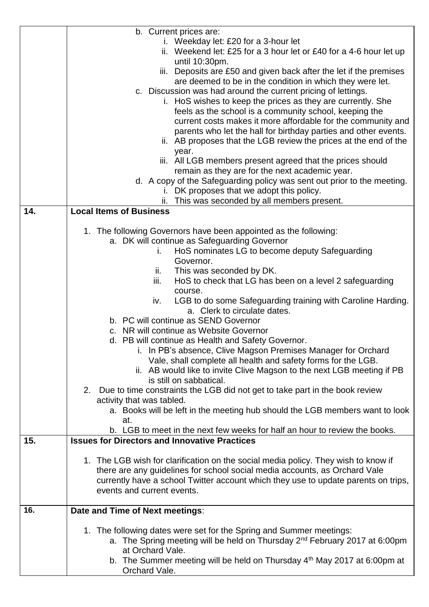|     | b. Current prices are:                                                                                                              |
|-----|-------------------------------------------------------------------------------------------------------------------------------------|
|     | i. Weekday let: £20 for a 3-hour let                                                                                                |
|     | ii. Weekend let: £25 for a 3 hour let or £40 for a 4-6 hour let up                                                                  |
|     | until 10:30pm.                                                                                                                      |
|     | iii. Deposits are £50 and given back after the let if the premises                                                                  |
|     | are deemed to be in the condition in which they were let.                                                                           |
|     | c. Discussion was had around the current pricing of lettings.                                                                       |
|     | i. HoS wishes to keep the prices as they are currently. She                                                                         |
|     | feels as the school is a community school, keeping the                                                                              |
|     | current costs makes it more affordable for the community and                                                                        |
|     | parents who let the hall for birthday parties and other events.<br>ii. AB proposes that the LGB review the prices at the end of the |
|     | year.                                                                                                                               |
|     | iii. All LGB members present agreed that the prices should                                                                          |
|     | remain as they are for the next academic year.                                                                                      |
|     | d. A copy of the Safeguarding policy was sent out prior to the meeting.                                                             |
|     | i. DK proposes that we adopt this policy.                                                                                           |
|     | This was seconded by all members present.<br>ii.                                                                                    |
| 14. | <b>Local Items of Business</b>                                                                                                      |
|     |                                                                                                                                     |
|     | 1. The following Governors have been appointed as the following:                                                                    |
|     | a. DK will continue as Safeguarding Governor                                                                                        |
|     | HoS nominates LG to become deputy Safeguarding<br>i.                                                                                |
|     | Governor.                                                                                                                           |
|     | This was seconded by DK.<br>ii.<br>HoS to check that LG has been on a level 2 safeguarding<br>iii.                                  |
|     | course.                                                                                                                             |
|     | LGB to do some Safeguarding training with Caroline Harding.<br>iv.                                                                  |
|     | a. Clerk to circulate dates.                                                                                                        |
|     | b. PC will continue as SEND Governor                                                                                                |
|     | c. NR will continue as Website Governor                                                                                             |
|     | d. PB will continue as Health and Safety Governor.                                                                                  |
|     | i. In PB's absence, Clive Magson Premises Manager for Orchard                                                                       |
|     | Vale, shall complete all health and safety forms for the LGB.                                                                       |
|     | ii. AB would like to invite Clive Magson to the next LGB meeting if PB                                                              |
|     | is still on sabbatical.                                                                                                             |
|     | 2. Due to time constraints the LGB did not get to take part in the book review                                                      |
|     | activity that was tabled.                                                                                                           |
|     | a. Books will be left in the meeting hub should the LGB members want to look<br>at.                                                 |
|     | b. LGB to meet in the next few weeks for half an hour to review the books.                                                          |
| 15. | <b>Issues for Directors and Innovative Practices</b>                                                                                |
|     |                                                                                                                                     |
|     | 1. The LGB wish for clarification on the social media policy. They wish to know if                                                  |
|     | there are any guidelines for school social media accounts, as Orchard Vale                                                          |
|     | currently have a school Twitter account which they use to update parents on trips,                                                  |
|     | events and current events.                                                                                                          |
| 16. |                                                                                                                                     |
|     | Date and Time of Next meetings:                                                                                                     |
|     | 1. The following dates were set for the Spring and Summer meetings:                                                                 |
|     | a. The Spring meeting will be held on Thursday 2 <sup>nd</sup> February 2017 at 6:00pm                                              |
|     | at Orchard Vale.                                                                                                                    |
|     | b. The Summer meeting will be held on Thursday $4th$ May 2017 at 6:00pm at                                                          |
|     | Orchard Vale.                                                                                                                       |